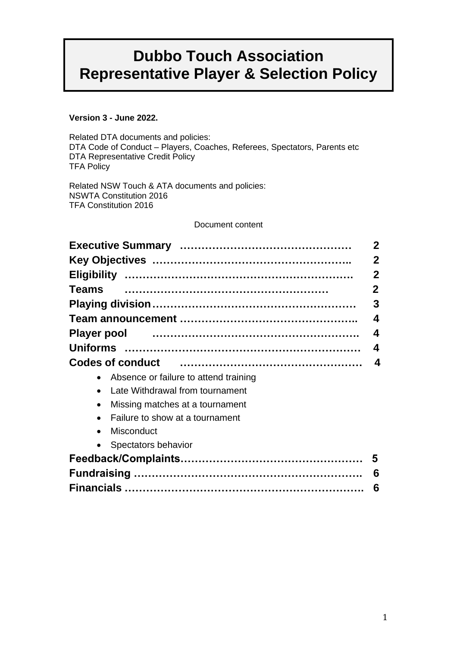# **Dubbo Touch Association Representative Player & Selection Policy**

# **Version 3 - June 2022.**

Related DTA documents and policies: DTA Code of Conduct – Players, Coaches, Referees, Spectators, Parents etc DTA Representative Credit Policy TFA Policy

Related NSW Touch & ATA documents and policies: NSWTA Constitution 2016 TFA Constitution 2016

# Document content

| <b>Teams</b><br><b>Player pool</b><br><b>Codes of conduct</b><br>• Absence or failure to attend training<br>Late Withdrawal from tournament<br>Missing matches at a tournament<br>$\bullet$<br>Failure to show at a tournament<br><b>Misconduct</b><br>$\bullet$<br>• Spectators behavior | $\mathbf{2}$ |
|-------------------------------------------------------------------------------------------------------------------------------------------------------------------------------------------------------------------------------------------------------------------------------------------|--------------|
|                                                                                                                                                                                                                                                                                           | $\mathbf 2$  |
|                                                                                                                                                                                                                                                                                           | $\mathbf 2$  |
|                                                                                                                                                                                                                                                                                           | $\mathbf{2}$ |
|                                                                                                                                                                                                                                                                                           | 3            |
|                                                                                                                                                                                                                                                                                           | 4            |
|                                                                                                                                                                                                                                                                                           | 4            |
|                                                                                                                                                                                                                                                                                           | 4            |
|                                                                                                                                                                                                                                                                                           | 4            |
|                                                                                                                                                                                                                                                                                           |              |
|                                                                                                                                                                                                                                                                                           |              |
|                                                                                                                                                                                                                                                                                           |              |
|                                                                                                                                                                                                                                                                                           |              |
|                                                                                                                                                                                                                                                                                           |              |
|                                                                                                                                                                                                                                                                                           |              |
|                                                                                                                                                                                                                                                                                           | 5            |
|                                                                                                                                                                                                                                                                                           | 6            |
|                                                                                                                                                                                                                                                                                           | 6            |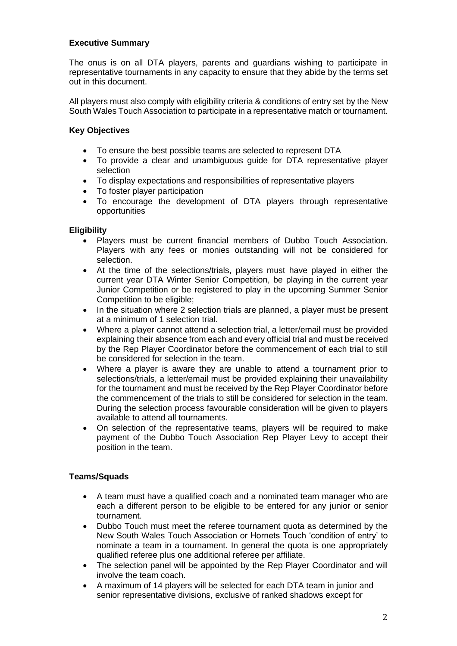# **Executive Summary**

The onus is on all DTA players, parents and guardians wishing to participate in representative tournaments in any capacity to ensure that they abide by the terms set out in this document.

All players must also comply with eligibility criteria & conditions of entry set by the New South Wales Touch Association to participate in a representative match or tournament.

# **Key Objectives**

- To ensure the best possible teams are selected to represent DTA
- To provide a clear and unambiguous guide for DTA representative player selection
- To display expectations and responsibilities of representative players
- To foster player participation
- To encourage the development of DTA players through representative opportunities

# **Eligibility**

- Players must be current financial members of Dubbo Touch Association. Players with any fees or monies outstanding will not be considered for selection.
- At the time of the selections/trials, players must have played in either the current year DTA Winter Senior Competition, be playing in the current year Junior Competition or be registered to play in the upcoming Summer Senior Competition to be eligible;
- In the situation where 2 selection trials are planned, a player must be present at a minimum of 1 selection trial.
- Where a player cannot attend a selection trial, a letter/email must be provided explaining their absence from each and every official trial and must be received by the Rep Player Coordinator before the commencement of each trial to still be considered for selection in the team.
- Where a player is aware they are unable to attend a tournament prior to selections/trials, a letter/email must be provided explaining their unavailability for the tournament and must be received by the Rep Player Coordinator before the commencement of the trials to still be considered for selection in the team. During the selection process favourable consideration will be given to players available to attend all tournaments.
- On selection of the representative teams, players will be required to make payment of the Dubbo Touch Association Rep Player Levy to accept their position in the team.

# **Teams/Squads**

- A team must have a qualified coach and a nominated team manager who are each a different person to be eligible to be entered for any junior or senior tournament.
- Dubbo Touch must meet the referee tournament quota as determined by the New South Wales Touch Association or Hornets Touch 'condition of entry' to nominate a team in a tournament. In general the quota is one appropriately qualified referee plus one additional referee per affiliate.
- The selection panel will be appointed by the Rep Player Coordinator and will involve the team coach.
- A maximum of 14 players will be selected for each DTA team in junior and senior representative divisions, exclusive of ranked shadows except for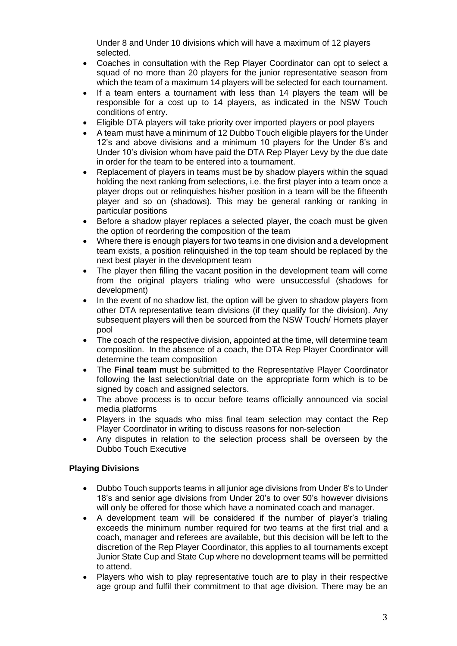Under 8 and Under 10 divisions which will have a maximum of 12 players selected.

- Coaches in consultation with the Rep Player Coordinator can opt to select a squad of no more than 20 players for the junior representative season from which the team of a maximum 14 players will be selected for each tournament.
- If a team enters a tournament with less than 14 players the team will be responsible for a cost up to 14 players, as indicated in the NSW Touch conditions of entry.
- Eligible DTA players will take priority over imported players or pool players
- A team must have a minimum of 12 Dubbo Touch eligible players for the Under 12's and above divisions and a minimum 10 players for the Under 8's and Under 10's division whom have paid the DTA Rep Player Levy by the due date in order for the team to be entered into a tournament.
- Replacement of players in teams must be by shadow players within the squad holding the next ranking from selections, i.e. the first player into a team once a player drops out or relinquishes his/her position in a team will be the fifteenth player and so on (shadows). This may be general ranking or ranking in particular positions
- Before a shadow player replaces a selected player, the coach must be given the option of reordering the composition of the team
- Where there is enough players for two teams in one division and a development team exists, a position relinquished in the top team should be replaced by the next best player in the development team
- The player then filling the vacant position in the development team will come from the original players trialing who were unsuccessful (shadows for development)
- In the event of no shadow list, the option will be given to shadow players from other DTA representative team divisions (if they qualify for the division). Any subsequent players will then be sourced from the NSW Touch/ Hornets player pool
- The coach of the respective division, appointed at the time, will determine team composition. In the absence of a coach, the DTA Rep Player Coordinator will determine the team composition
- The **Final team** must be submitted to the Representative Player Coordinator following the last selection/trial date on the appropriate form which is to be signed by coach and assigned selectors.
- The above process is to occur before teams officially announced via social media platforms
- Players in the squads who miss final team selection may contact the Rep Player Coordinator in writing to discuss reasons for non-selection
- Any disputes in relation to the selection process shall be overseen by the Dubbo Touch Executive

# **Playing Divisions**

- Dubbo Touch supports teams in all junior age divisions from Under 8's to Under 18's and senior age divisions from Under 20's to over 50's however divisions will only be offered for those which have a nominated coach and manager.
- A development team will be considered if the number of player's trialing exceeds the minimum number required for two teams at the first trial and a coach, manager and referees are available, but this decision will be left to the discretion of the Rep Player Coordinator, this applies to all tournaments except Junior State Cup and State Cup where no development teams will be permitted to attend.
- Players who wish to play representative touch are to play in their respective age group and fulfil their commitment to that age division. There may be an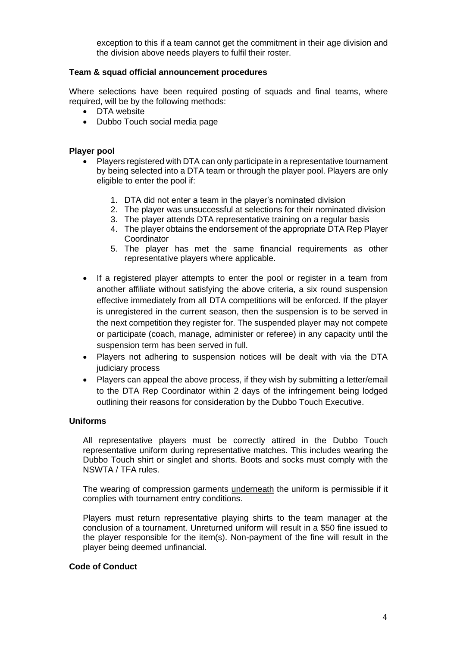exception to this if a team cannot get the commitment in their age division and the division above needs players to fulfil their roster.

### **Team & squad official announcement procedures**

Where selections have been required posting of squads and final teams, where required, will be by the following methods:

- DTA website
- Dubbo Touch social media page

#### **Player pool**

- Players registered with DTA can only participate in a representative tournament by being selected into a DTA team or through the player pool. Players are only eligible to enter the pool if:
	- 1. DTA did not enter a team in the player's nominated division
	- 2. The player was unsuccessful at selections for their nominated division
	- 3. The player attends DTA representative training on a regular basis
	- 4. The player obtains the endorsement of the appropriate DTA Rep Player **Coordinator**
	- 5. The player has met the same financial requirements as other representative players where applicable.
- If a registered player attempts to enter the pool or register in a team from another affiliate without satisfying the above criteria, a six round suspension effective immediately from all DTA competitions will be enforced. If the player is unregistered in the current season, then the suspension is to be served in the next competition they register for. The suspended player may not compete or participate (coach, manage, administer or referee) in any capacity until the suspension term has been served in full.
- Players not adhering to suspension notices will be dealt with via the DTA judiciary process
- Players can appeal the above process, if they wish by submitting a letter/email to the DTA Rep Coordinator within 2 days of the infringement being lodged outlining their reasons for consideration by the Dubbo Touch Executive.

# **Uniforms**

All representative players must be correctly attired in the Dubbo Touch representative uniform during representative matches. This includes wearing the Dubbo Touch shirt or singlet and shorts. Boots and socks must comply with the NSWTA / TFA rules.

The wearing of compression garments **underneath** the uniform is permissible if it complies with tournament entry conditions.

Players must return representative playing shirts to the team manager at the conclusion of a tournament. Unreturned uniform will result in a \$50 fine issued to the player responsible for the item(s). Non-payment of the fine will result in the player being deemed unfinancial.

#### **Code of Conduct**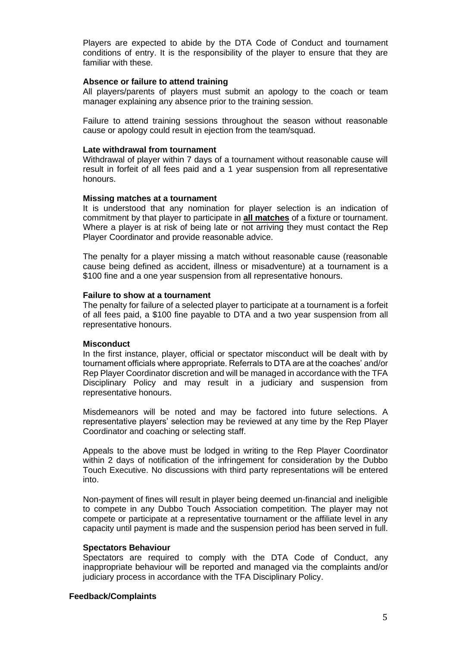Players are expected to abide by the DTA Code of Conduct and tournament conditions of entry. It is the responsibility of the player to ensure that they are familiar with these.

#### **Absence or failure to attend training**

All players/parents of players must submit an apology to the coach or team manager explaining any absence prior to the training session.

Failure to attend training sessions throughout the season without reasonable cause or apology could result in ejection from the team/squad.

#### **Late withdrawal from tournament**

Withdrawal of player within 7 days of a tournament without reasonable cause will result in forfeit of all fees paid and a 1 year suspension from all representative honours.

#### **Missing matches at a tournament**

It is understood that any nomination for player selection is an indication of commitment by that player to participate in **all matches** of a fixture or tournament. Where a player is at risk of being late or not arriving they must contact the Rep Player Coordinator and provide reasonable advice.

The penalty for a player missing a match without reasonable cause (reasonable cause being defined as accident, illness or misadventure) at a tournament is a \$100 fine and a one year suspension from all representative honours.

#### **Failure to show at a tournament**

The penalty for failure of a selected player to participate at a tournament is a forfeit of all fees paid, a \$100 fine payable to DTA and a two year suspension from all representative honours.

#### **Misconduct**

In the first instance, player, official or spectator misconduct will be dealt with by tournament officials where appropriate. Referrals to DTA are at the coaches' and/or Rep Player Coordinator discretion and will be managed in accordance with the TFA Disciplinary Policy and may result in a judiciary and suspension from representative honours.

Misdemeanors will be noted and may be factored into future selections. A representative players' selection may be reviewed at any time by the Rep Player Coordinator and coaching or selecting staff.

Appeals to the above must be lodged in writing to the Rep Player Coordinator within 2 days of notification of the infringement for consideration by the Dubbo Touch Executive. No discussions with third party representations will be entered into.

Non-payment of fines will result in player being deemed un-financial and ineligible to compete in any Dubbo Touch Association competition. The player may not compete or participate at a representative tournament or the affiliate level in any capacity until payment is made and the suspension period has been served in full.

#### **Spectators Behaviour**

Spectators are required to comply with the DTA Code of Conduct, any inappropriate behaviour will be reported and managed via the complaints and/or judiciary process in accordance with the TFA Disciplinary Policy.

#### **Feedback/Complaints**